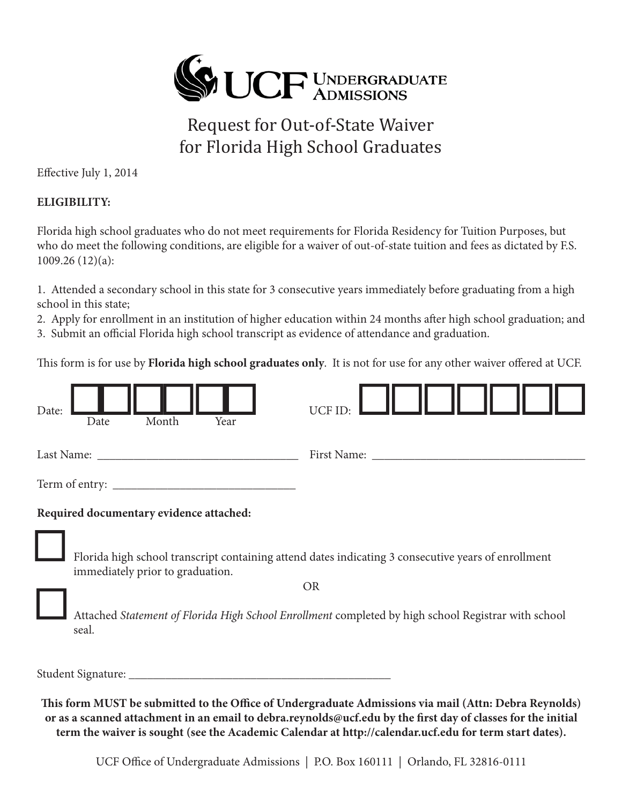

## Request for Out-of-State Waiver for Florida High School Graduates

Effective July 1, 2014

## **ELIGIBILITY:**

Florida high school graduates who do not meet requirements for Florida Residency for Tuition Purposes, but who do meet the following conditions, are eligible for a waiver of out-of-state tuition and fees as dictated by F.S. 1009.26 (12)(a):

1. Attended a secondary school in this state for 3 consecutive years immediately before graduating from a high school in this state;

2. Apply for enrollment in an institution of higher education within 24 months after high school graduation; and

3. Submit an official Florida high school transcript as evidence of attendance and graduation.

This form is for use by **Florida high school graduates only**. It is not for use for any other waiver offered at UCF.

| Date:<br>Year<br>Month<br>Date          | UCF ID:                                                                                             |  |  |  |  |  |  |
|-----------------------------------------|-----------------------------------------------------------------------------------------------------|--|--|--|--|--|--|
| Last Name:                              | First Name:                                                                                         |  |  |  |  |  |  |
|                                         |                                                                                                     |  |  |  |  |  |  |
| Required documentary evidence attached: |                                                                                                     |  |  |  |  |  |  |
| immediately prior to graduation.        | Florida high school transcript containing attend dates indicating 3 consecutive years of enrollment |  |  |  |  |  |  |
|                                         | <b>OR</b>                                                                                           |  |  |  |  |  |  |
| seal.                                   | Attached Statement of Florida High School Enrollment completed by high school Registrar with school |  |  |  |  |  |  |

Student Signature: \_\_\_\_\_\_\_\_\_\_\_\_\_\_\_\_\_\_\_\_\_\_\_\_\_\_\_\_\_\_\_\_\_\_\_\_\_\_\_\_\_\_\_

This form MUST be submitted to the Office of Undergraduate Admissions via mail (Attn: Debra Reynolds) or as a scanned attachment in an email to debra.reynolds@ucf.edu by the first day of classes for the initial **term the waiver is sought (see the Academic Calendar at http://calendar.ucf.edu for term start dates).**

UCF Office of Undergraduate Admissions | P.O. Box 160111 | Orlando, FL 32816-0111